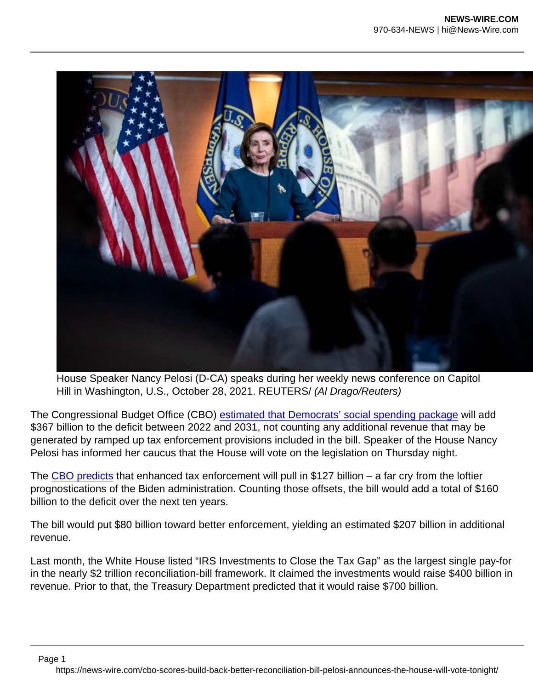House Speaker Nancy Pelosi (D-CA) speaks during her weekly news conference on Capitol Hill in Washington, U.S., October 28, 2021. REUTERS/ (Al Drago/Reuters)

The Congressional Budget Office (CBO) [estimated that Democrats' social spending package](https://www.cbo.gov/publication/57627) will add \$367 billion to the deficit between 2022 and 2031, not counting any additional revenue that may be generated by ramped up tax enforcement provisions included in the bill. Speaker of the House Nancy Pelosi has informed her caucus that the House will vote on the legislation on Thursday night.

The [CBO predicts](https://www.cbo.gov/publication/57620) that enhanced tax enforcement will pull in \$127 billion – a far cry from the loftier prognostications of the Biden administration. Counting those offsets, the bill would add a total of \$160 billion to the deficit over the next ten years.

The bill would put \$80 billion toward better enforcement, yielding an estimated \$207 billion in additional revenue.

Last month, the White House listed "IRS Investments to Close the Tax Gap" as the largest single pay-for in the nearly \$2 trillion reconciliation-bill framework. It claimed the investments would raise \$400 billion in revenue. Prior to that, the Treasury Department predicted that it would raise \$700 billion.

Page 1

https://news-wire.com/cbo-scores-build-back-better-reconciliation-bill-pelosi-announces-the-house-will-vote-tonight/